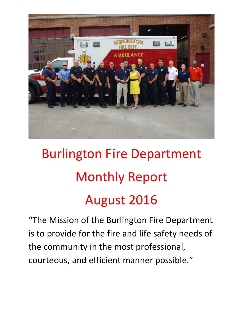

# Burlington Fire Department Monthly Report August 2016

"The Mission of the Burlington Fire Department is to provide for the fire and life safety needs of the community in the most professional, courteous, and efficient manner possible."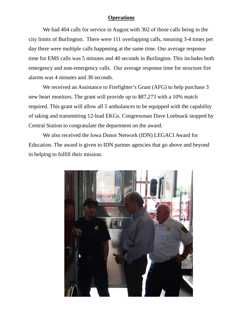#### **Operations**

We had 404 calls for service in August with 302 of those calls being in the city limits of Burlington. There were 111 overlapping calls, meaning 3-4 times per day there were multiple calls happening at the same time. Our average response time for EMS calls was 5 minutes and 40 seconds in Burlington. This includes both emergency and non-emergency calls. Our average response time for structure fire alarms was 4 minutes and 38 seconds.

We received an Assistance to Firefighter's Grant (AFG) to help purchase 3 new heart monitors. The grant will provide up to \$87,273 with a 10% match required. This grant will allow all 5 ambulances to be equipped with the capability of taking and transmitting 12-lead EKGs. Congressman Dave Loebsack stopped by Central Station to congratulate the department on the award.

We also received the Iowa Donor Network (IDN) LEGACI Award for Education. The award is given to IDN partner agencies that go above and beyond in helping to fulfill their mission.

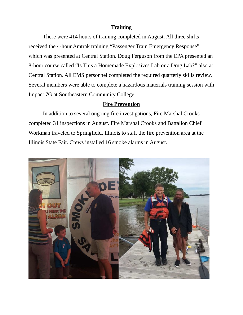#### **Training**

 There were 414 hours of training completed in August. All three shifts received the 4-hour Amtrak training "Passenger Train Emergency Response" which was presented at Central Station. Doug Ferguson from the EPA presented an 8-hour course called "Is This a Homemade Explosives Lab or a Drug Lab?" also at Central Station. All EMS personnel completed the required quarterly skills review. Several members were able to complete a hazardous materials training session with Impact 7G at Southeastern Community College.

#### **Fire Prevention**

 In addition to several ongoing fire investigations, Fire Marshal Crooks completed 31 inspections in August. Fire Marshal Crooks and Battalion Chief Workman traveled to Springfield, Illinois to staff the fire prevention area at the Illinois State Fair. Crews installed 16 smoke alarms in August.

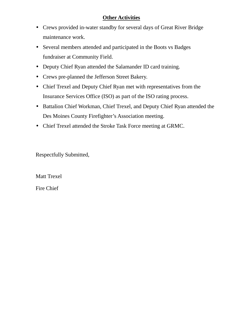## **Other Activities**

- Crews provided in-water standby for several days of Great River Bridge maintenance work.
- Several members attended and participated in the Boots vs Badges fundraiser at Community Field.
- Deputy Chief Ryan attended the Salamander ID card training.
- Crews pre-planned the Jefferson Street Bakery.
- Chief Trexel and Deputy Chief Ryan met with representatives from the Insurance Services Office (ISO) as part of the ISO rating process.
- Battalion Chief Workman, Chief Trexel, and Deputy Chief Ryan attended the Des Moines County Firefighter's Association meeting.
- Chief Trexel attended the Stroke Task Force meeting at GRMC.

Respectfully Submitted,

Matt Trexel

Fire Chief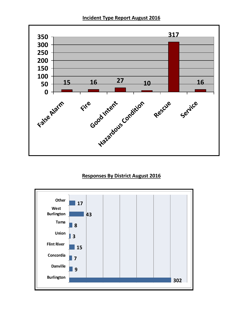**Incident Type Report August 2016** 



## **Responses By District August 2016**

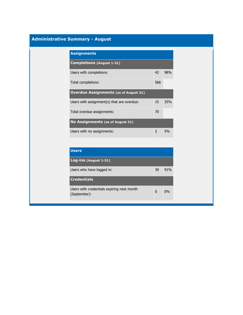## **Administrative Summary - August**

| <b>Assignments</b>                           |               |     |
|----------------------------------------------|---------------|-----|
| <b>Completions (August 1-31)</b>             |               |     |
| Users with completions:                      | 42            | 98% |
| Total completions:                           | 566           |     |
| <b>Overdue Assignments (as of August 31)</b> |               |     |
| Users with assignment(s) that are overdue:   | 15            | 35% |
| Total overdue assignments:                   | 70            |     |
| No Assignments (as of August 31)             |               |     |
| Users with no assignments:                   | $\mathcal{P}$ | .5% |

| <b>Users</b>                                               |    |     |
|------------------------------------------------------------|----|-----|
| Log-ins (August 1-31)                                      |    |     |
| Users who have logged in:                                  | 39 | 91% |
| <b>Credentials</b>                                         |    |     |
| Users with credentials expiring next month<br>(September): | O  | 0%  |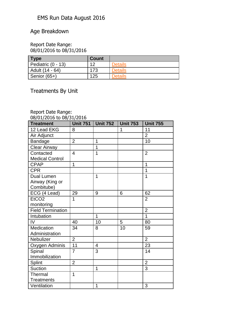## EMS Run Data August 2016

## Age Breakdown

#### Report Date Range: 08/01/2016 to 08/31/2016

| <b>Type</b>        | <b>Count</b> |                |
|--------------------|--------------|----------------|
| Pediatric (0 - 13) | イク           | <b>Details</b> |
| Adult (14 - 64)    | 173          | <b>Details</b> |
| Senior (65+)       | 125          | <b>Details</b> |

Treatments By Unit

## Report Date Range:

| 08/01/2016 to 08/31/2016 |                 |                          |                 |                 |  |  |  |
|--------------------------|-----------------|--------------------------|-----------------|-----------------|--|--|--|
| <b>Treatment</b>         | <b>Unit 751</b> | <b>Unit 752</b>          | <b>Unit 753</b> | <b>Unit 755</b> |  |  |  |
| 12 Lead EKG              | 8               |                          | $\overline{1}$  | 11              |  |  |  |
| Air Adjunct              |                 |                          |                 | $\overline{2}$  |  |  |  |
| Bandage                  | $\overline{2}$  | $\overline{1}$           |                 | 10              |  |  |  |
| <b>Clear Airway</b>      |                 | $\overline{1}$           |                 |                 |  |  |  |
| Contacted                | $\overline{4}$  | 1                        |                 | $\overline{2}$  |  |  |  |
| <b>Medical Control</b>   |                 |                          |                 |                 |  |  |  |
| <b>CPAP</b>              | 1               |                          |                 | 1               |  |  |  |
| <b>CPR</b>               |                 |                          |                 | 1               |  |  |  |
| <b>Dual Lumen</b>        |                 | 1                        |                 | $\overline{1}$  |  |  |  |
| Airway (King or          |                 |                          |                 |                 |  |  |  |
| Combitube)               |                 |                          |                 |                 |  |  |  |
| ECG (4 Lead)             | 29              | 9                        | 6               | 62              |  |  |  |
| EtCO <sub>2</sub>        | 1               |                          |                 | $\overline{2}$  |  |  |  |
| monitoring               |                 |                          |                 |                 |  |  |  |
| <b>Field Termination</b> |                 |                          |                 | $\overline{2}$  |  |  |  |
| Intubation               |                 | $\overline{1}$           |                 | 1               |  |  |  |
| IV                       | 40              | $\overline{10}$          | 5               | 80              |  |  |  |
| Medication               | 34              | 8                        | 10              | 59              |  |  |  |
| Administration           |                 |                          |                 |                 |  |  |  |
| Nebulizer                | $\overline{2}$  |                          |                 | $\overline{2}$  |  |  |  |
| Oxygen Adminis           | $\overline{11}$ | $\overline{\mathcal{A}}$ |                 | 23              |  |  |  |
| Spinal                   | $\overline{7}$  | 3                        |                 | 14              |  |  |  |
| Immobilization           |                 |                          |                 |                 |  |  |  |
| Splint                   | $\overline{2}$  |                          |                 | $\overline{2}$  |  |  |  |
| <b>Suction</b>           |                 | 1                        |                 | 3               |  |  |  |
| Thermal                  | 1               |                          |                 |                 |  |  |  |
| <b>Treatments</b>        |                 |                          |                 |                 |  |  |  |
| Ventilation              |                 | 1                        |                 | 3               |  |  |  |